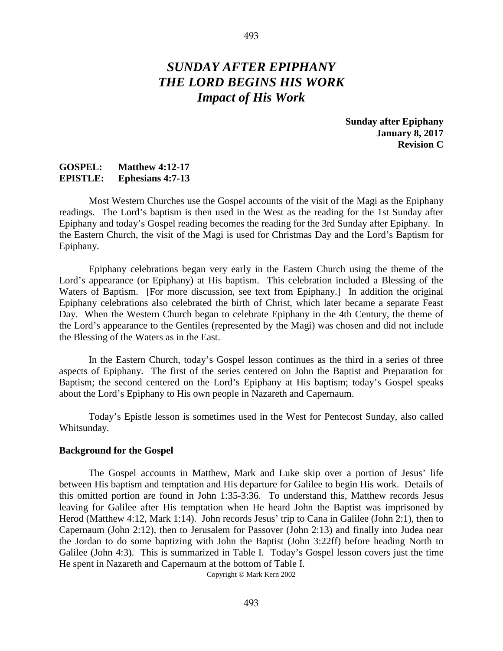# *SUNDAY AFTER EPIPHANY THE LORD BEGINS HIS WORK Impact of His Work*

**Sunday after Epiphany January 8, 2017 Revision C**

## **GOSPEL: Matthew 4:12-17 EPISTLE: Ephesians 4:7-13**

Most Western Churches use the Gospel accounts of the visit of the Magi as the Epiphany readings. The Lord's baptism is then used in the West as the reading for the 1st Sunday after Epiphany and today's Gospel reading becomes the reading for the 3rd Sunday after Epiphany. In the Eastern Church, the visit of the Magi is used for Christmas Day and the Lord's Baptism for Epiphany.

Epiphany celebrations began very early in the Eastern Church using the theme of the Lord's appearance (or Epiphany) at His baptism. This celebration included a Blessing of the Waters of Baptism. [For more discussion, see text from Epiphany.] In addition the original Epiphany celebrations also celebrated the birth of Christ, which later became a separate Feast Day. When the Western Church began to celebrate Epiphany in the 4th Century, the theme of the Lord's appearance to the Gentiles (represented by the Magi) was chosen and did not include the Blessing of the Waters as in the East.

In the Eastern Church, today's Gospel lesson continues as the third in a series of three aspects of Epiphany. The first of the series centered on John the Baptist and Preparation for Baptism; the second centered on the Lord's Epiphany at His baptism; today's Gospel speaks about the Lord's Epiphany to His own people in Nazareth and Capernaum.

Today's Epistle lesson is sometimes used in the West for Pentecost Sunday, also called Whitsunday.

#### **Background for the Gospel**

The Gospel accounts in Matthew, Mark and Luke skip over a portion of Jesus' life between His baptism and temptation and His departure for Galilee to begin His work. Details of this omitted portion are found in John 1:35-3:36. To understand this, Matthew records Jesus leaving for Galilee after His temptation when He heard John the Baptist was imprisoned by Herod (Matthew 4:12, Mark 1:14). John records Jesus' trip to Cana in Galilee (John 2:1), then to Capernaum (John 2:12), then to Jerusalem for Passover (John 2:13) and finally into Judea near the Jordan to do some baptizing with John the Baptist (John 3:22ff) before heading North to Galilee (John 4:3). This is summarized in Table I. Today's Gospel lesson covers just the time He spent in Nazareth and Capernaum at the bottom of Table I.

Copyright © Mark Kern 2002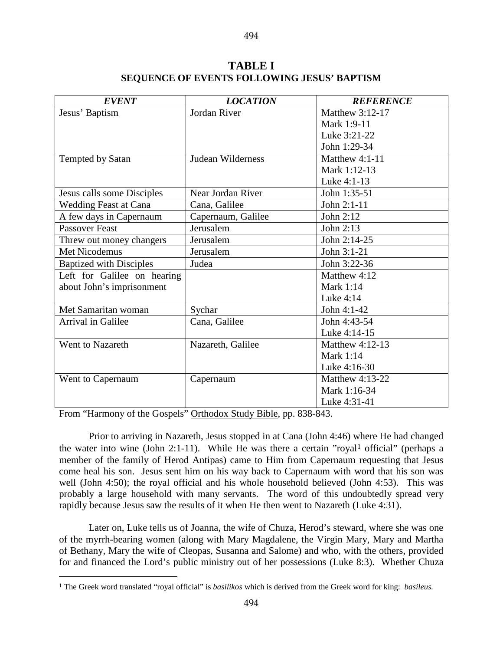| <b>EVENT</b>                   | <b>LOCATION</b>    | <b>REFERENCE</b> |
|--------------------------------|--------------------|------------------|
| Jesus' Baptism                 | Jordan River       | Matthew 3:12-17  |
|                                |                    | Mark 1:9-11      |
|                                |                    | Luke 3:21-22     |
|                                |                    | John 1:29-34     |
| Tempted by Satan               | Judean Wilderness  | Matthew $4:1-11$ |
|                                |                    | Mark 1:12-13     |
|                                |                    | Luke 4:1-13      |
| Jesus calls some Disciples     | Near Jordan River  | John 1:35-51     |
| <b>Wedding Feast at Cana</b>   | Cana, Galilee      | John 2:1-11      |
| A few days in Capernaum        | Capernaum, Galilee | John $2:12$      |
| <b>Passover Feast</b>          | Jerusalem          | John 2:13        |
| Threw out money changers       | Jerusalem          | John 2:14-25     |
| Met Nicodemus                  | Jerusalem          | John 3:1-21      |
| <b>Baptized with Disciples</b> | Judea              | John 3:22-36     |
| Left for Galilee on hearing    |                    | Matthew 4:12     |
| about John's imprisonment      |                    | Mark 1:14        |
|                                |                    | Luke 4:14        |
| Met Samaritan woman            | Sychar             | John 4:1-42      |
| Arrival in Galilee             | Cana, Galilee      | John 4:43-54     |
|                                |                    | Luke 4:14-15     |
| Went to Nazareth               | Nazareth, Galilee  | Matthew 4:12-13  |
|                                |                    | <b>Mark 1:14</b> |
|                                |                    | Luke 4:16-30     |
| Went to Capernaum              | Capernaum          | Matthew 4:13-22  |
|                                |                    | Mark 1:16-34     |
|                                |                    | Luke 4:31-41     |

## **TABLE I SEQUENCE OF EVENTS FOLLOWING JESUS' BAPTISM**

494

From "Harmony of the Gospels" Orthodox Study Bible, pp. 838-843.

Prior to arriving in Nazareth, Jesus stopped in at Cana (John 4:46) where He had changed the water into wine (John 2:[1](#page-1-0)-11). While He was there a certain "royal<sup>1</sup> official" (perhaps a member of the family of Herod Antipas) came to Him from Capernaum requesting that Jesus come heal his son. Jesus sent him on his way back to Capernaum with word that his son was well (John 4:50); the royal official and his whole household believed (John 4:53). This was probably a large household with many servants. The word of this undoubtedly spread very rapidly because Jesus saw the results of it when He then went to Nazareth (Luke 4:31).

Later on, Luke tells us of Joanna, the wife of Chuza, Herod's steward, where she was one of the myrrh-bearing women (along with Mary Magdalene, the Virgin Mary, Mary and Martha of Bethany, Mary the wife of Cleopas, Susanna and Salome) and who, with the others, provided for and financed the Lord's public ministry out of her possessions (Luke 8:3). Whether Chuza

<span id="page-1-0"></span> <sup>1</sup> The Greek word translated "royal official" is *basilikos* which is derived from the Greek word for king: *basileus.*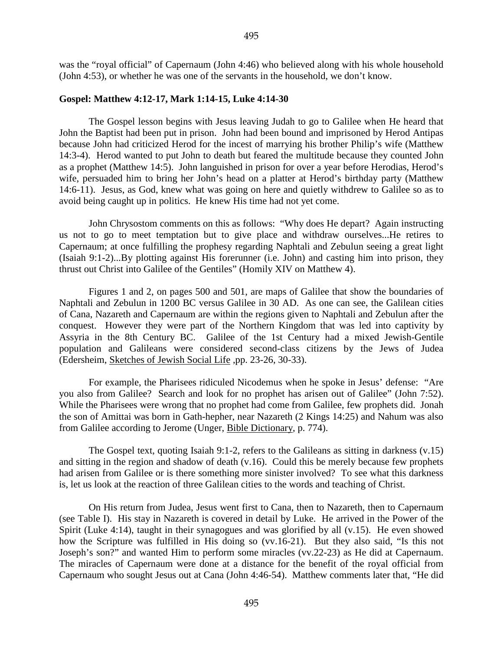was the "royal official" of Capernaum (John 4:46) who believed along with his whole household (John 4:53), or whether he was one of the servants in the household, we don't know.

## **Gospel: Matthew 4:12-17, Mark 1:14-15, Luke 4:14-30**

The Gospel lesson begins with Jesus leaving Judah to go to Galilee when He heard that John the Baptist had been put in prison. John had been bound and imprisoned by Herod Antipas because John had criticized Herod for the incest of marrying his brother Philip's wife (Matthew 14:3-4). Herod wanted to put John to death but feared the multitude because they counted John as a prophet (Matthew 14:5). John languished in prison for over a year before Herodias, Herod's wife, persuaded him to bring her John's head on a platter at Herod's birthday party (Matthew 14:6-11). Jesus, as God, knew what was going on here and quietly withdrew to Galilee so as to avoid being caught up in politics. He knew His time had not yet come.

John Chrysostom comments on this as follows: "Why does He depart? Again instructing us not to go to meet temptation but to give place and withdraw ourselves...He retires to Capernaum; at once fulfilling the prophesy regarding Naphtali and Zebulun seeing a great light (Isaiah 9:1-2)...By plotting against His forerunner (i.e. John) and casting him into prison, they thrust out Christ into Galilee of the Gentiles" (Homily XIV on Matthew 4).

Figures 1 and 2, on pages 500 and 501, are maps of Galilee that show the boundaries of Naphtali and Zebulun in 1200 BC versus Galilee in 30 AD. As one can see, the Galilean cities of Cana, Nazareth and Capernaum are within the regions given to Naphtali and Zebulun after the conquest. However they were part of the Northern Kingdom that was led into captivity by Assyria in the 8th Century BC. Galilee of the 1st Century had a mixed Jewish-Gentile population and Galileans were considered second-class citizens by the Jews of Judea (Edersheim, Sketches of Jewish Social Life ,pp. 23-26, 30-33).

For example, the Pharisees ridiculed Nicodemus when he spoke in Jesus' defense: "Are you also from Galilee? Search and look for no prophet has arisen out of Galilee" (John 7:52). While the Pharisees were wrong that no prophet had come from Galilee, few prophets did. Jonah the son of Amittai was born in Gath-hepher, near Nazareth (2 Kings 14:25) and Nahum was also from Galilee according to Jerome (Unger, Bible Dictionary, p. 774).

The Gospel text, quoting Isaiah 9:1-2, refers to the Galileans as sitting in darkness (v.15) and sitting in the region and shadow of death (v.16). Could this be merely because few prophets had arisen from Galilee or is there something more sinister involved? To see what this darkness is, let us look at the reaction of three Galilean cities to the words and teaching of Christ.

On His return from Judea, Jesus went first to Cana, then to Nazareth, then to Capernaum (see Table I). His stay in Nazareth is covered in detail by Luke. He arrived in the Power of the Spirit (Luke 4:14), taught in their synagogues and was glorified by all (v.15). He even showed how the Scripture was fulfilled in His doing so (vv.16-21). But they also said, "Is this not Joseph's son?" and wanted Him to perform some miracles (vv.22-23) as He did at Capernaum. The miracles of Capernaum were done at a distance for the benefit of the royal official from Capernaum who sought Jesus out at Cana (John 4:46-54). Matthew comments later that, "He did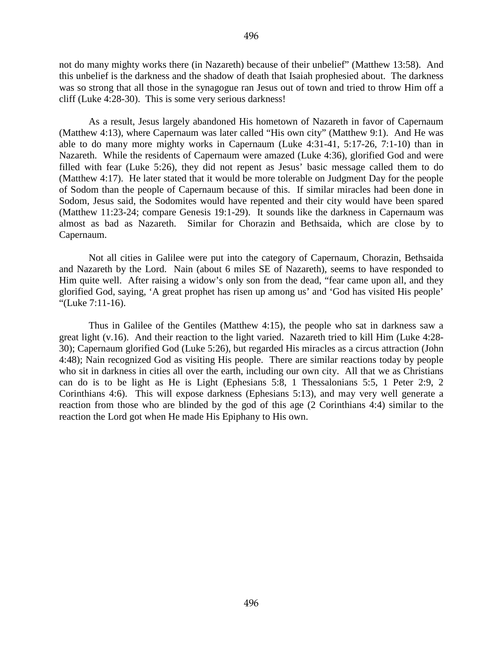not do many mighty works there (in Nazareth) because of their unbelief" (Matthew 13:58). And this unbelief is the darkness and the shadow of death that Isaiah prophesied about. The darkness was so strong that all those in the synagogue ran Jesus out of town and tried to throw Him off a cliff (Luke 4:28-30). This is some very serious darkness!

As a result, Jesus largely abandoned His hometown of Nazareth in favor of Capernaum (Matthew 4:13), where Capernaum was later called "His own city" (Matthew 9:1). And He was able to do many more mighty works in Capernaum (Luke 4:31-41, 5:17-26, 7:1-10) than in Nazareth. While the residents of Capernaum were amazed (Luke 4:36), glorified God and were filled with fear (Luke 5:26), they did not repent as Jesus' basic message called them to do (Matthew 4:17). He later stated that it would be more tolerable on Judgment Day for the people of Sodom than the people of Capernaum because of this. If similar miracles had been done in Sodom, Jesus said, the Sodomites would have repented and their city would have been spared (Matthew 11:23-24; compare Genesis 19:1-29). It sounds like the darkness in Capernaum was almost as bad as Nazareth. Similar for Chorazin and Bethsaida, which are close by to Capernaum.

Not all cities in Galilee were put into the category of Capernaum, Chorazin, Bethsaida and Nazareth by the Lord. Nain (about 6 miles SE of Nazareth), seems to have responded to Him quite well. After raising a widow's only son from the dead, "fear came upon all, and they glorified God, saying, 'A great prophet has risen up among us' and 'God has visited His people' "(Luke 7:11-16).

Thus in Galilee of the Gentiles (Matthew 4:15), the people who sat in darkness saw a great light (v.16). And their reaction to the light varied. Nazareth tried to kill Him (Luke 4:28- 30); Capernaum glorified God (Luke 5:26), but regarded His miracles as a circus attraction (John 4:48); Nain recognized God as visiting His people. There are similar reactions today by people who sit in darkness in cities all over the earth, including our own city. All that we as Christians can do is to be light as He is Light (Ephesians 5:8, 1 Thessalonians 5:5, 1 Peter 2:9, 2 Corinthians 4:6). This will expose darkness (Ephesians 5:13), and may very well generate a reaction from those who are blinded by the god of this age (2 Corinthians 4:4) similar to the reaction the Lord got when He made His Epiphany to His own.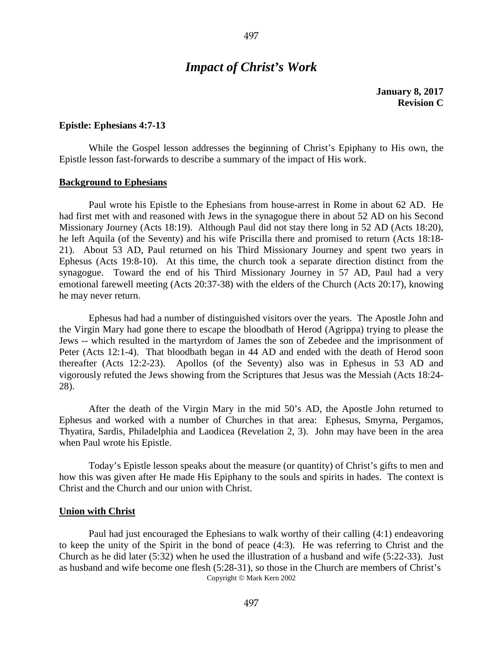## *Impact of Christ's Work*

**January 8, 2017 Revision C**

#### **Epistle: Ephesians 4:7-13**

While the Gospel lesson addresses the beginning of Christ's Epiphany to His own, the Epistle lesson fast-forwards to describe a summary of the impact of His work.

#### **Background to Ephesians**

Paul wrote his Epistle to the Ephesians from house-arrest in Rome in about 62 AD. He had first met with and reasoned with Jews in the synagogue there in about 52 AD on his Second Missionary Journey (Acts 18:19). Although Paul did not stay there long in 52 AD (Acts 18:20), he left Aquila (of the Seventy) and his wife Priscilla there and promised to return (Acts 18:18- 21). About 53 AD, Paul returned on his Third Missionary Journey and spent two years in Ephesus (Acts 19:8-10). At this time, the church took a separate direction distinct from the synagogue. Toward the end of his Third Missionary Journey in 57 AD, Paul had a very emotional farewell meeting (Acts 20:37-38) with the elders of the Church (Acts 20:17), knowing he may never return.

Ephesus had had a number of distinguished visitors over the years. The Apostle John and the Virgin Mary had gone there to escape the bloodbath of Herod (Agrippa) trying to please the Jews -- which resulted in the martyrdom of James the son of Zebedee and the imprisonment of Peter (Acts 12:1-4). That bloodbath began in 44 AD and ended with the death of Herod soon thereafter (Acts 12:2-23). Apollos (of the Seventy) also was in Ephesus in 53 AD and vigorously refuted the Jews showing from the Scriptures that Jesus was the Messiah (Acts 18:24- 28).

After the death of the Virgin Mary in the mid 50's AD, the Apostle John returned to Ephesus and worked with a number of Churches in that area: Ephesus, Smyrna, Pergamos, Thyatira, Sardis, Philadelphia and Laodicea (Revelation 2, 3). John may have been in the area when Paul wrote his Epistle.

Today's Epistle lesson speaks about the measure (or quantity) of Christ's gifts to men and how this was given after He made His Epiphany to the souls and spirits in hades. The context is Christ and the Church and our union with Christ.

#### **Union with Christ**

Paul had just encouraged the Ephesians to walk worthy of their calling (4:1) endeavoring to keep the unity of the Spirit in the bond of peace (4:3). He was referring to Christ and the Church as he did later (5:32) when he used the illustration of a husband and wife (5:22-33). Just as husband and wife become one flesh (5:28-31), so those in the Church are members of Christ's Copyright © Mark Kern 2002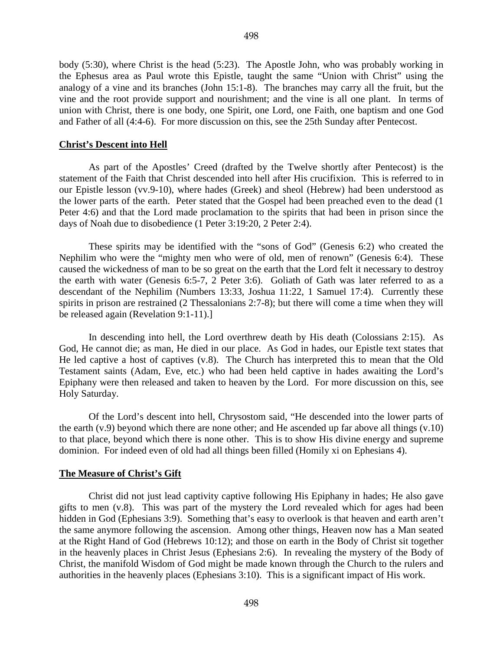body (5:30), where Christ is the head (5:23). The Apostle John, who was probably working in the Ephesus area as Paul wrote this Epistle, taught the same "Union with Christ" using the analogy of a vine and its branches (John 15:1-8). The branches may carry all the fruit, but the vine and the root provide support and nourishment; and the vine is all one plant. In terms of union with Christ, there is one body, one Spirit, one Lord, one Faith, one baptism and one God and Father of all (4:4-6). For more discussion on this, see the 25th Sunday after Pentecost.

#### **Christ's Descent into Hell**

As part of the Apostles' Creed (drafted by the Twelve shortly after Pentecost) is the statement of the Faith that Christ descended into hell after His crucifixion. This is referred to in our Epistle lesson (vv.9-10), where hades (Greek) and sheol (Hebrew) had been understood as the lower parts of the earth. Peter stated that the Gospel had been preached even to the dead (1 Peter 4:6) and that the Lord made proclamation to the spirits that had been in prison since the days of Noah due to disobedience (1 Peter 3:19:20, 2 Peter 2:4).

These spirits may be identified with the "sons of God" (Genesis 6:2) who created the Nephilim who were the "mighty men who were of old, men of renown" (Genesis 6:4). These caused the wickedness of man to be so great on the earth that the Lord felt it necessary to destroy the earth with water (Genesis 6:5-7, 2 Peter 3:6). Goliath of Gath was later referred to as a descendant of the Nephilim (Numbers 13:33, Joshua 11:22, 1 Samuel 17:4). Currently these spirits in prison are restrained (2 Thessalonians 2:7-8); but there will come a time when they will be released again (Revelation 9:1-11).]

In descending into hell, the Lord overthrew death by His death (Colossians 2:15). As God, He cannot die; as man, He died in our place. As God in hades, our Epistle text states that He led captive a host of captives (v.8). The Church has interpreted this to mean that the Old Testament saints (Adam, Eve, etc.) who had been held captive in hades awaiting the Lord's Epiphany were then released and taken to heaven by the Lord. For more discussion on this, see Holy Saturday.

Of the Lord's descent into hell, Chrysostom said, "He descended into the lower parts of the earth (v.9) beyond which there are none other; and He ascended up far above all things (v.10) to that place, beyond which there is none other. This is to show His divine energy and supreme dominion. For indeed even of old had all things been filled (Homily xi on Ephesians 4).

## **The Measure of Christ's Gift**

Christ did not just lead captivity captive following His Epiphany in hades; He also gave gifts to men (v.8). This was part of the mystery the Lord revealed which for ages had been hidden in God (Ephesians 3:9). Something that's easy to overlook is that heaven and earth aren't the same anymore following the ascension. Among other things, Heaven now has a Man seated at the Right Hand of God (Hebrews 10:12); and those on earth in the Body of Christ sit together in the heavenly places in Christ Jesus (Ephesians 2:6). In revealing the mystery of the Body of Christ, the manifold Wisdom of God might be made known through the Church to the rulers and authorities in the heavenly places (Ephesians 3:10). This is a significant impact of His work.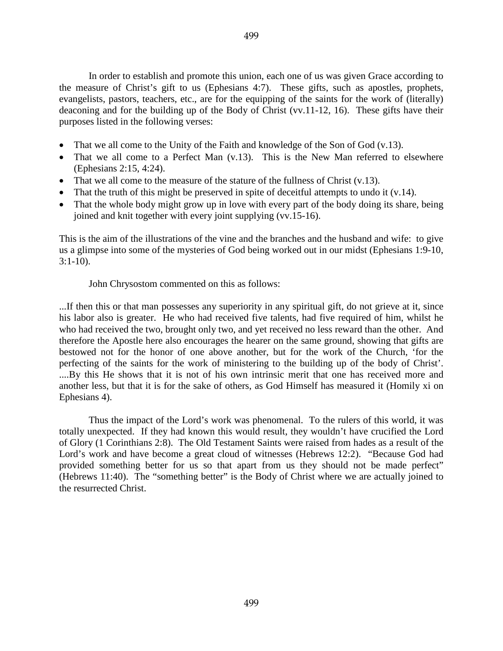In order to establish and promote this union, each one of us was given Grace according to the measure of Christ's gift to us (Ephesians 4:7). These gifts, such as apostles, prophets, evangelists, pastors, teachers, etc., are for the equipping of the saints for the work of (literally) deaconing and for the building up of the Body of Christ (vv.11-12, 16). These gifts have their purposes listed in the following verses:

- That we all come to the Unity of the Faith and knowledge of the Son of God (v.13).
- That we all come to a Perfect Man (v.13). This is the New Man referred to elsewhere (Ephesians 2:15, 4:24).
- That we all come to the measure of the stature of the fullness of Christ  $(v.13)$ .
- That the truth of this might be preserved in spite of deceitful attempts to undo it (v.14).
- That the whole body might grow up in love with every part of the body doing its share, being joined and knit together with every joint supplying (vv.15-16).

This is the aim of the illustrations of the vine and the branches and the husband and wife: to give us a glimpse into some of the mysteries of God being worked out in our midst (Ephesians 1:9-10, 3:1-10).

John Chrysostom commented on this as follows:

...If then this or that man possesses any superiority in any spiritual gift, do not grieve at it, since his labor also is greater. He who had received five talents, had five required of him, whilst he who had received the two, brought only two, and yet received no less reward than the other. And therefore the Apostle here also encourages the hearer on the same ground, showing that gifts are bestowed not for the honor of one above another, but for the work of the Church, 'for the perfecting of the saints for the work of ministering to the building up of the body of Christ'. ....By this He shows that it is not of his own intrinsic merit that one has received more and another less, but that it is for the sake of others, as God Himself has measured it (Homily xi on Ephesians 4).

Thus the impact of the Lord's work was phenomenal. To the rulers of this world, it was totally unexpected. If they had known this would result, they wouldn't have crucified the Lord of Glory (1 Corinthians 2:8). The Old Testament Saints were raised from hades as a result of the Lord's work and have become a great cloud of witnesses (Hebrews 12:2). "Because God had provided something better for us so that apart from us they should not be made perfect" (Hebrews 11:40). The "something better" is the Body of Christ where we are actually joined to the resurrected Christ.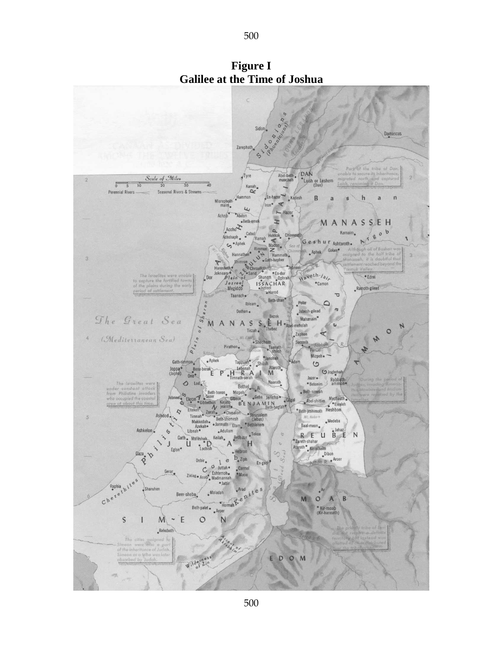

**Figure I Galilee at the Time of Joshua**